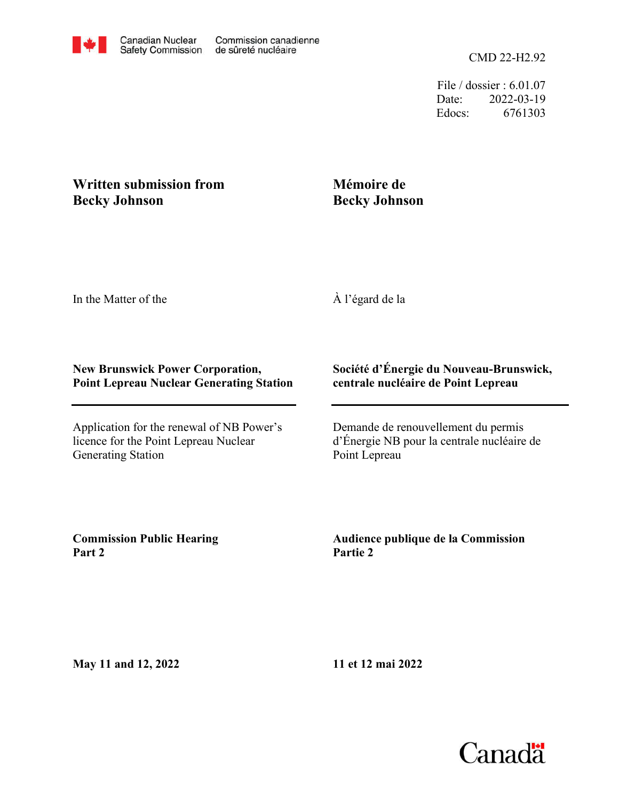File / dossier : 6.01.07 Date: 2022-03-19 Edocs: 6761303

## **Written submission from Becky Johnson**

## **Mémoire de Becky Johnson**

In the Matter of the

À l'égard de la

## **New Brunswick Power Corporation, Point Lepreau Nuclear Generating Station**

Application for the renewal of NB Power's licence for the Point Lepreau Nuclear Generating Station

## **Société d'Énergie du Nouveau-Brunswick, centrale nucléaire de Point Lepreau**

Demande de renouvellement du permis d'Énergie NB pour la centrale nucléaire de Point Lepreau

**Commission Public Hearing Part 2**

**Audience publique de la Commission Partie 2**

**May 11 and 12, 2022**

**11 et 12 mai 2022**